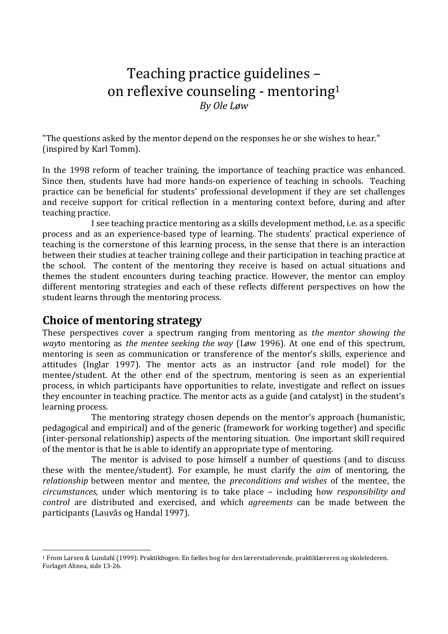# Teaching practice guidelines – on reflexive counseling - mentoring<sup>1</sup> *By Ole Løw*

"The questions asked by the mentor depend on the responses he or she wishes to hear." (inspired by Karl Tomm).

In the 1998 reform of teacher training, the importance of teaching practice was enhanced. Since then, students have had more hands-on experience of teaching in schools. Teaching practice can be beneficial for students' professional development if they are set challenges and receive support for critical reflection in a mentoring context before, during and after teaching practice.

I see teaching practice mentoring as a skills development method, i.e. as a specific process and as an experience-based type of learning. The students' practical experience of teaching is the cornerstone of this learning process, in the sense that there is an interaction between their studies at teacher training college and their participation in teaching practice at the school. The content of the mentoring they receive is based on actual situations and themes the student encounters during teaching practice. However, the mentor can employ different mentoring strategies and each of these reflects different perspectives on how the student learns through the mentoring process.

#### **Choice of mentoring strategy**

These perspectives cover a spectrum ranging from mentoring as *the mentor showing the way*to mentoring as *the mentee seeking the way* (Løw 1996). At one end of this spectrum, mentoring is seen as communication or transference of the mentor's skills, experience and attitudes (Inglar 1997). The mentor acts as an instructor (and role model) for the mentee/student. At the other end of the spectrum, mentoring is seen as an experiential process, in which participants have opportunities to relate, investigate and reflect on issues they encounter in teaching practice. The mentor acts as a guide (and catalyst) in the student's learning process.

 The mentoring strategy chosen depends on the mentor's approach (humanistic, pedagogical and empirical) and of the generic (framework for working together) and specific (inter-personal relationship) aspects of the mentoring situation. One important skill required of the mentor is that he is able to identify an appropriate type of mentoring.

 The mentor is advised to pose himself a number of questions (and to discuss these with the mentee/student). For example, he must clarify the *aim* of mentoring, the *relationship* between mentor and mentee, the *preconditions and wishes* of the mentee, the *circumstances,* under which mentoring is to take place – including how *responsibility and control* are distributed and exercised, and which *agreements* can be made between the participants (Lauvås og Handal 1997).

 $\overline{a}$ <sup>1</sup> From Larsen & Lundahl (1999): Praktikbogen. En fælles bog for den lærerstuderende, praktiklæreren og skolelederen. Forlaget Alinea, side 13-26.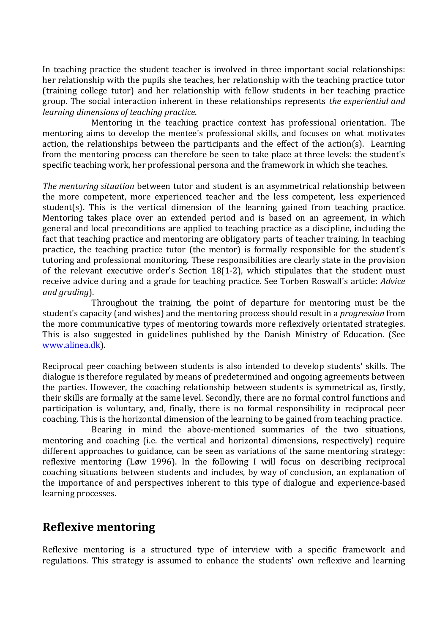In teaching practice the student teacher is involved in three important social relationships: her relationship with the pupils she teaches, her relationship with the teaching practice tutor (training college tutor) and her relationship with fellow students in her teaching practice group. The social interaction inherent in these relationships represents *the experiential and learning dimensions of teaching practice*.

 Mentoring in the teaching practice context has professional orientation. The mentoring aims to develop the mentee's professional skills, and focuses on what motivates action, the relationships between the participants and the effect of the action(s). Learning from the mentoring process can therefore be seen to take place at three levels: the student's specific teaching work, her professional persona and the framework in which she teaches.

*The mentoring situation* between tutor and student is an asymmetrical relationship between the more competent, more experienced teacher and the less competent, less experienced student(s). This is the vertical dimension of the learning gained from teaching practice. Mentoring takes place over an extended period and is based on an agreement, in which general and local preconditions are applied to teaching practice as a discipline, including the fact that teaching practice and mentoring are obligatory parts of teacher training. In teaching practice, the teaching practice tutor (the mentor) is formally responsible for the student's tutoring and professional monitoring. These responsibilities are clearly state in the provision of the relevant executive order's Section 18(1-2), which stipulates that the student must receive advice during and a grade for teaching practice. See Torben Roswall's article: *Advice and grading*).

 Throughout the training, the point of departure for mentoring must be the student's capacity (and wishes) and the mentoring process should result in a *progression* from the more communicative types of mentoring towards more reflexively orientated strategies. This is also suggested in guidelines published by the Danish Ministry of Education. (See www.alinea.dk).

Reciprocal peer coaching between students is also intended to develop students' skills. The dialogue is therefore regulated by means of predetermined and ongoing agreements between the parties. However, the coaching relationship between students is symmetrical as, firstly, their skills are formally at the same level. Secondly, there are no formal control functions and participation is voluntary, and, finally, there is no formal responsibility in reciprocal peer coaching. This is the horizontal dimension of the learning to be gained from teaching practice.

 Bearing in mind the above-mentioned summaries of the two situations, mentoring and coaching (i.e. the vertical and horizontal dimensions, respectively) require different approaches to guidance, can be seen as variations of the same mentoring strategy: reflexive mentoring (Løw 1996). In the following I will focus on describing reciprocal coaching situations between students and includes, by way of conclusion, an explanation of the importance of and perspectives inherent to this type of dialogue and experience-based learning processes.

### **Reflexive mentoring**

Reflexive mentoring is a structured type of interview with a specific framework and regulations. This strategy is assumed to enhance the students' own reflexive and learning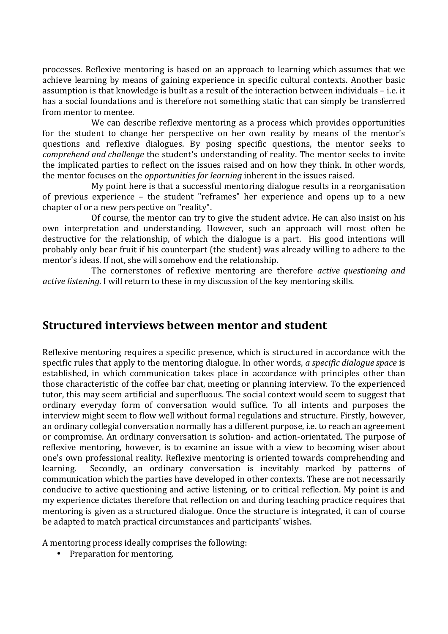processes. Reflexive mentoring is based on an approach to learning which assumes that we achieve learning by means of gaining experience in specific cultural contexts. Another basic assumption is that knowledge is built as a result of the interaction between individuals – i.e. it has a social foundations and is therefore not something static that can simply be transferred from mentor to mentee.

 We can describe reflexive mentoring as a process which provides opportunities for the student to change her perspective on her own reality by means of the mentor's questions and reflexive dialogues. By posing specific questions, the mentor seeks to *comprehend and challenge* the student's understanding of reality. The mentor seeks to invite the implicated parties to reflect on the issues raised and on how they think. In other words, the mentor focuses on the *opportunities for learning* inherent in the issues raised.

My point here is that a successful mentoring dialogue results in a reorganisation of previous experience – the student "reframes" her experience and opens up to a new chapter of or a new perspective on "reality".

Of course, the mentor can try to give the student advice. He can also insist on his own interpretation and understanding. However, such an approach will most often be destructive for the relationship, of which the dialogue is a part. His good intentions will probably only bear fruit if his counterpart (the student) was already willing to adhere to the mentor's ideas. If not, she will somehow end the relationship.

The cornerstones of reflexive mentoring are therefore *active questioning and active listening*. I will return to these in my discussion of the key mentoring skills.

### **Structured interviews between mentor and student**

Reflexive mentoring requires a specific presence, which is structured in accordance with the specific rules that apply to the mentoring dialogue. In other words, *a specific dialogue space* is established, in which communication takes place in accordance with principles other than those characteristic of the coffee bar chat, meeting or planning interview. To the experienced tutor, this may seem artificial and superfluous. The social context would seem to suggest that ordinary everyday form of conversation would suffice. To all intents and purposes the interview might seem to flow well without formal regulations and structure. Firstly, however, an ordinary collegial conversation normally has a different purpose, i.e. to reach an agreement or compromise. An ordinary conversation is solution- and action-orientated. The purpose of reflexive mentoring, however, is to examine an issue with a view to becoming wiser about one's own professional reality. Reflexive mentoring is oriented towards comprehending and learning. Secondly, an ordinary conversation is inevitably marked by patterns of communication which the parties have developed in other contexts. These are not necessarily conducive to active questioning and active listening, or to critical reflection. My point is and my experience dictates therefore that reflection on and during teaching practice requires that mentoring is given as a structured dialogue. Once the structure is integrated, it can of course be adapted to match practical circumstances and participants' wishes.

A mentoring process ideally comprises the following:

• Preparation for mentoring.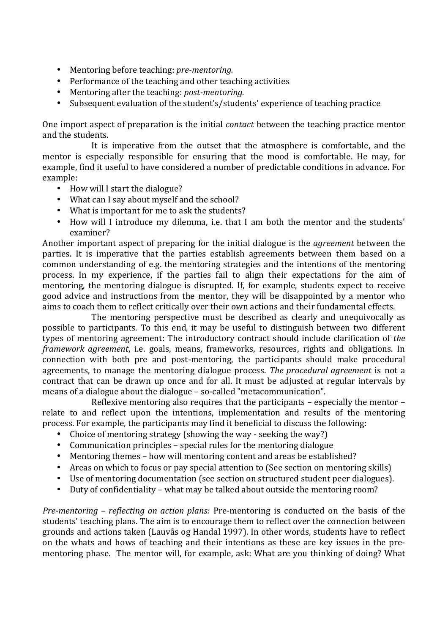- Mentoring before teaching: *pre-mentoring.*
- Performance of the teaching and other teaching activities
- Mentoring after the teaching: *post-mentoring.*
- Subsequent evaluation of the student's/students' experience of teaching practice

One import aspect of preparation is the initial *contact* between the teaching practice mentor and the students.

 It is imperative from the outset that the atmosphere is comfortable, and the mentor is especially responsible for ensuring that the mood is comfortable. He may, for example, find it useful to have considered a number of predictable conditions in advance. For example:

- How will I start the dialogue?
- What can I say about myself and the school?
- What is important for me to ask the students?
- How will I introduce my dilemma, i.e. that I am both the mentor and the students' examiner?

Another important aspect of preparing for the initial dialogue is the *agreement* between the parties. It is imperative that the parties establish agreements between them based on a common understanding of e.g. the mentoring strategies and the intentions of the mentoring process. In my experience, if the parties fail to align their expectations for the aim of mentoring, the mentoring dialogue is disrupted. If, for example, students expect to receive good advice and instructions from the mentor, they will be disappointed by a mentor who aims to coach them to reflect critically over their own actions and their fundamental effects.

 The mentoring perspective must be described as clearly and unequivocally as possible to participants. To this end, it may be useful to distinguish between two different types of mentoring agreement: The introductory contract should include clarification of *the framework agreement*, i.e. goals, means, frameworks, resources, rights and obligations. In connection with both pre and post-mentoring, the participants should make procedural agreements, to manage the mentoring dialogue process. *The procedural agreement* is not a contract that can be drawn up once and for all. It must be adjusted at regular intervals by means of a dialogue about the dialogue – so-called "metacommunication".

 Reflexive mentoring also requires that the participants – especially the mentor – relate to and reflect upon the intentions, implementation and results of the mentoring process. For example, the participants may find it beneficial to discuss the following:

- Choice of mentoring strategy (showing the way seeking the way?)
- Communication principles special rules for the mentoring dialogue
- Mentoring themes how will mentoring content and areas be established?
- Areas on which to focus or pay special attention to (See section on mentoring skills)
- Use of mentoring documentation (see section on structured student peer dialogues).
- Duty of confidentiality what may be talked about outside the mentoring room?

*Pre-mentoring – reflecting on action plans:* Pre-mentoring is conducted on the basis of the students' teaching plans. The aim is to encourage them to reflect over the connection between grounds and actions taken (Lauvås og Handal 1997). In other words, students have to reflect on the whats and hows of teaching and their intentions as these are key issues in the prementoring phase. The mentor will, for example, ask: What are you thinking of doing? What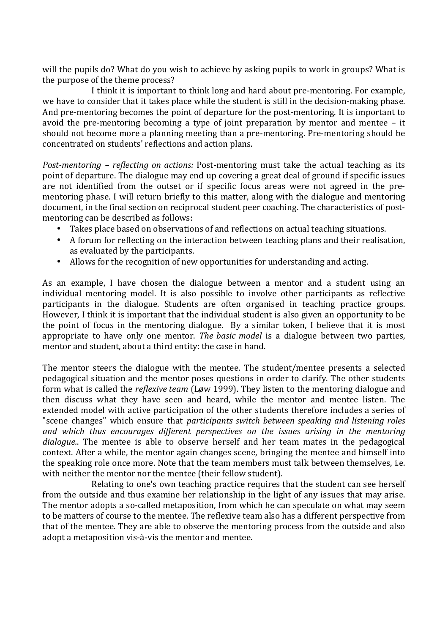will the pupils do? What do you wish to achieve by asking pupils to work in groups? What is the purpose of the theme process?

 I think it is important to think long and hard about pre-mentoring. For example, we have to consider that it takes place while the student is still in the decision-making phase. And pre-mentoring becomes the point of departure for the post-mentoring. It is important to avoid the pre-mentoring becoming a type of joint preparation by mentor and mentee – it should not become more a planning meeting than a pre-mentoring. Pre-mentoring should be concentrated on students' reflections and action plans.

*Post-mentoring – reflecting on actions:* Post-mentoring must take the actual teaching as its point of departure. The dialogue may end up covering a great deal of ground if specific issues are not identified from the outset or if specific focus areas were not agreed in the prementoring phase. I will return briefly to this matter, along with the dialogue and mentoring document, in the final section on reciprocal student peer coaching. The characteristics of postmentoring can be described as follows:

- Takes place based on observations of and reflections on actual teaching situations.
- A forum for reflecting on the interaction between teaching plans and their realisation, as evaluated by the participants.
- Allows for the recognition of new opportunities for understanding and acting.

As an example, I have chosen the dialogue between a mentor and a student using an individual mentoring model. It is also possible to involve other participants as reflective participants in the dialogue. Students are often organised in teaching practice groups. However, I think it is important that the individual student is also given an opportunity to be the point of focus in the mentoring dialogue. By a similar token, I believe that it is most appropriate to have only one mentor. *The basic model* is a dialogue between two parties, mentor and student, about a third entity: the case in hand.

The mentor steers the dialogue with the mentee. The student/mentee presents a selected pedagogical situation and the mentor poses questions in order to clarify. The other students form what is called the *reflexive team* (Løw 1999). They listen to the mentoring dialogue and then discuss what they have seen and heard, while the mentor and mentee listen. The extended model with active participation of the other students therefore includes a series of "scene changes" which ensure that *participants switch between speaking and listening roles and which thus encourages different perspectives on the issues arising in the mentoring dialogue.*. The mentee is able to observe herself and her team mates in the pedagogical context. After a while, the mentor again changes scene, bringing the mentee and himself into the speaking role once more. Note that the team members must talk between themselves, i.e. with neither the mentor nor the mentee (their fellow student).

 Relating to one's own teaching practice requires that the student can see herself from the outside and thus examine her relationship in the light of any issues that may arise. The mentor adopts a so-called metaposition, from which he can speculate on what may seem to be matters of course to the mentee. The reflexive team also has a different perspective from that of the mentee. They are able to observe the mentoring process from the outside and also adopt a metaposition vis-à-vis the mentor and mentee.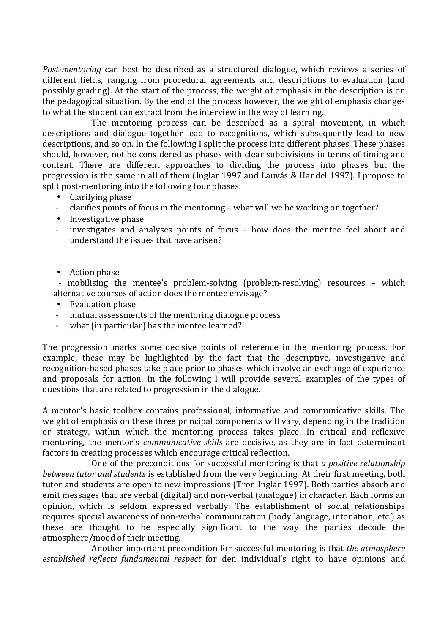*Post-mentoring* can best be described as a structured dialogue, which reviews a series of different fields, ranging from procedural agreements and descriptions to evaluation (and possibly grading). At the start of the process, the weight of emphasis in the description is on the pedagogical situation. By the end of the process however, the weight of emphasis changes to what the student can extract from the interview in the way of learning.

 The mentoring process can be described as a spiral movement, in which descriptions and dialogue together lead to recognitions, which subsequently lead to new descriptions, and so on. In the following I split the process into different phases. These phases should, however, not be considered as phases with clear subdivisions in terms of timing and content. There are different approaches to dividing the process into phases but the progression is the same in all of them (Inglar 1997 and Lauvås & Handel 1997). I propose to split post-mentoring into the following four phases:

- Clarifying phase
- clarifies points of focus in the mentoring what will we be working on together?
- Investigative phase
- investigates and analyses points of focus how does the mentee feel about and understand the issues that have arisen?
- Action phase

- mobilising the mentee's problem-solving (problem-resolving) resources – which alternative courses of action does the mentee envisage?

- Evaluation phase
- mutual assessments of the mentoring dialogue process
- what (in particular) has the mentee learned?

The progression marks some decisive points of reference in the mentoring process. For example, these may be highlighted by the fact that the descriptive, investigative and recognition-based phases take place prior to phases which involve an exchange of experience and proposals for action. In the following I will provide several examples of the types of questions that are related to progression in the dialogue.

A mentor's basic toolbox contains professional, informative and communicative skills. The weight of emphasis on these three principal components will vary, depending in the tradition or strategy, within which the mentoring process takes place. In critical and reflexive mentoring, the mentor's *communicative skills* are decisive, as they are in fact determinant factors in creating processes which encourage critical reflection.

 One of the preconditions for successful mentoring is that *a positive relationship between tutor and students* is established from the very beginning. At their first meeting, both tutor and students are open to new impressions (Tron Inglar 1997). Both parties absorb and emit messages that are verbal (digital) and non-verbal (analogue) in character. Each forms an opinion, which is seldom expressed verbally. The establishment of social relationships requires special awareness of non-verbal communication (body language, intonation, etc.) as these are thought to be especially significant to the way the parties decode the atmosphere/mood of their meeting.

 Another important precondition for successful mentoring is that *the atmosphere established reflects fundamental respect* for den individual's right to have opinions and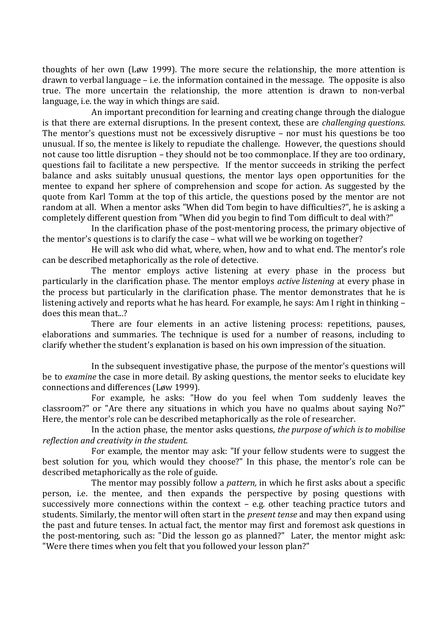thoughts of her own (Løw 1999). The more secure the relationship, the more attention is drawn to verbal language – i.e. the information contained in the message. The opposite is also true. The more uncertain the relationship, the more attention is drawn to non-verbal language, i.e. the way in which things are said.

 An important precondition for learning and creating change through the dialogue is that there are external disruptions. In the present context, these are *challenging questions*. The mentor's questions must not be excessively disruptive – nor must his questions be too unusual. If so, the mentee is likely to repudiate the challenge. However, the questions should not cause too little disruption – they should not be too commonplace. If they are too ordinary, questions fail to facilitate a new perspective. If the mentor succeeds in striking the perfect balance and asks suitably unusual questions, the mentor lays open opportunities for the mentee to expand her sphere of comprehension and scope for action. As suggested by the quote from Karl Tomm at the top of this article, the questions posed by the mentor are not random at all. When a mentor asks "When did Tom begin to have difficulties?", he is asking a completely different question from "When did you begin to find Tom difficult to deal with?"

 In the clarification phase of the post-mentoring process, the primary objective of the mentor's questions is to clarify the case – what will we be working on together?

 He will ask who did what, where, when, how and to what end. The mentor's role can be described metaphorically as the role of detective.

 The mentor employs active listening at every phase in the process but particularly in the clarification phase. The mentor employs *active listening* at every phase in the process but particularly in the clarification phase. The mentor demonstrates that he is listening actively and reports what he has heard. For example, he says: Am I right in thinking – does this mean that...?

 There are four elements in an active listening process: repetitions, pauses, elaborations and summaries. The technique is used for a number of reasons, including to clarify whether the student's explanation is based on his own impression of the situation.

 In the subsequent investigative phase, the purpose of the mentor's questions will be to *examine* the case in more detail. By asking questions, the mentor seeks to elucidate key connections and differences (Løw 1999).

 For example, he asks: "How do you feel when Tom suddenly leaves the classroom?" or "Are there any situations in which you have no qualms about saying No?" Here, the mentor's role can be described metaphorically as the role of researcher.

 In the action phase, the mentor asks questions, *the purpose of which is to mobilise reflection and creativity in the student.* 

 For example, the mentor may ask: "If your fellow students were to suggest the best solution for you, which would they choose?" In this phase, the mentor's role can be described metaphorically as the role of guide.

 The mentor may possibly follow a *pattern,* in which he first asks about a specific person, i.e. the mentee, and then expands the perspective by posing questions with successively more connections within the context – e.g. other teaching practice tutors and students. Similarly, the mentor will often start in the *present tense* and may then expand using the past and future tenses. In actual fact, the mentor may first and foremost ask questions in the post-mentoring, such as: "Did the lesson go as planned?" Later, the mentor might ask: "Were there times when you felt that you followed your lesson plan?"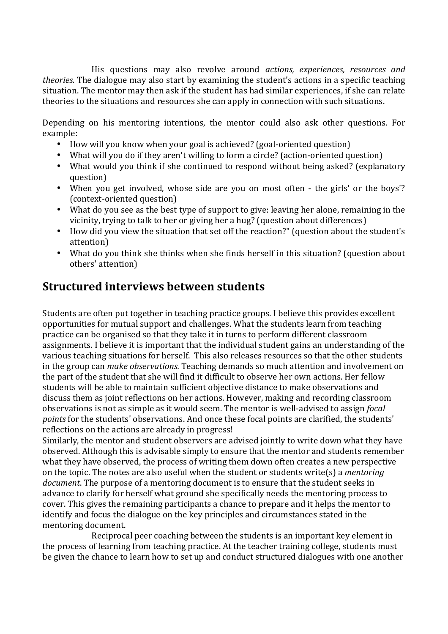His questions may also revolve around *actions, experiences, resources and theories.* The dialogue may also start by examining the student's actions in a specific teaching situation. The mentor may then ask if the student has had similar experiences, if she can relate theories to the situations and resources she can apply in connection with such situations.

Depending on his mentoring intentions, the mentor could also ask other questions. For example:

- How will you know when your goal is achieved? (goal-oriented question)
- What will you do if they aren't willing to form a circle? (action-oriented question)
- What would you think if she continued to respond without being asked? (explanatory question)
- When you get involved, whose side are you on most often the girls' or the boys'? (context-oriented question)
- What do you see as the best type of support to give: leaving her alone, remaining in the vicinity, trying to talk to her or giving her a hug? (question about differences)
- How did you view the situation that set off the reaction?" (question about the student's attention)
- What do you think she thinks when she finds herself in this situation? (question about others' attention)

## **Structured interviews between students**

Students are often put together in teaching practice groups. I believe this provides excellent opportunities for mutual support and challenges. What the students learn from teaching practice can be organised so that they take it in turns to perform different classroom assignments. I believe it is important that the individual student gains an understanding of the various teaching situations for herself. This also releases resources so that the other students in the group can *make observations.* Teaching demands so much attention and involvement on the part of the student that she will find it difficult to observe her own actions. Her fellow students will be able to maintain sufficient objective distance to make observations and discuss them as joint reflections on her actions. However, making and recording classroom observations is not as simple as it would seem. The mentor is well-advised to assign *focal points* for the students' observations. And once these focal points are clarified, the students' reflections on the actions are already in progress!

Similarly, the mentor and student observers are advised jointly to write down what they have observed. Although this is advisable simply to ensure that the mentor and students remember what they have observed, the process of writing them down often creates a new perspective on the topic. The notes are also useful when the student or students write(s) a *mentoring document*. The purpose of a mentoring document is to ensure that the student seeks in advance to clarify for herself what ground she specifically needs the mentoring process to cover. This gives the remaining participants a chance to prepare and it helps the mentor to identify and focus the dialogue on the key principles and circumstances stated in the mentoring document.

 Reciprocal peer coaching between the students is an important key element in the process of learning from teaching practice. At the teacher training college, students must be given the chance to learn how to set up and conduct structured dialogues with one another